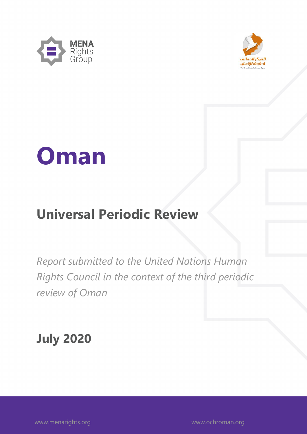



# **Oman**

# **Universal Periodic Review**

*Report submitted to the United Nations Human Rights Council in the context of the third periodic review of Oman*

**July 2020**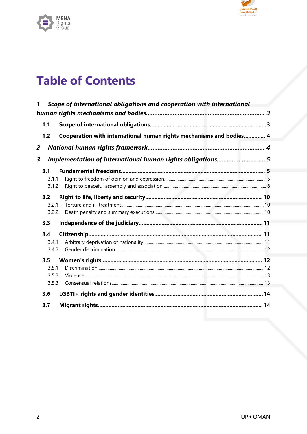



# **Table of Contents**

| 1 |                                | Scope of international obligations and cooperation with international |  |
|---|--------------------------------|-----------------------------------------------------------------------|--|
|   | 1.1                            |                                                                       |  |
|   | 1.2                            | Cooperation with international human rights mechanisms and bodies 4   |  |
| 2 |                                |                                                                       |  |
| 3 |                                | Implementation of international human rights obligations5             |  |
|   | 3.1<br>3.1.1<br>3.1.2          |                                                                       |  |
|   | 3.2<br>3.2.1<br>3.2.2          |                                                                       |  |
|   | 3.3                            |                                                                       |  |
|   | 3.4<br>3.4.1<br>3.4.2          |                                                                       |  |
|   | 3.5<br>3.5.1<br>3.5.2<br>3.5.3 |                                                                       |  |
|   | 3.6<br>3.7                     |                                                                       |  |
|   |                                |                                                                       |  |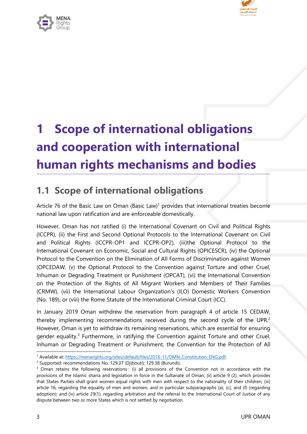

<span id="page-2-0"></span>

# **1 Scope of international obligations and cooperation with international human rights mechanisms and bodies**

# **1.1 Scope of international obligations**

Article 76 of the Basic Law on Oman (Basic Law)<sup>1</sup> provides that international treaties become national law upon ratification and are enforceable domestically.

However, Oman has not ratified (i) the International Covenant on Civil and Political Rights (ICCPR), (ii) the First and Second Optional Protocols to the International Covenant on Civil and Political Rights (ICCPR-OP1 and ICCPR-OP2), (iii)the Optional Protocol to the International Covenant on Economic, Social and Cultural Rights (OPICESCR), (iv) the Optional Protocol to the Convention on the Elimination of All Forms of Discrimination against Women (OPCEDAW, (v) the Optional Protocol to the Convention against Torture and other Cruel, Inhuman or Degrading Treatment or Punishment (OPCAT), (vi) the International Convention on the Protection of the Rights of All Migrant Workers and Members of Their Families (CRMW), (vii) the International Labour Organization'<sup>s</sup> (ILO) Domestic Workers Convention (No. 189), or (viii) the Rome Statute of the International Criminal Court (ICC).

In January 2019 Oman withdrew the reservation from paragraph 4 of article 15 CEDAW, thereby implementing recommendations received during the second cycle of the UPR.<sup>2</sup> However, Oman is ye<sup>t</sup> to withdraw its remaining reservations, which are essential for ensuring gender equality.<sup>3</sup> Furthermore, in ratifying the Convention against Torture and other Cruel, Inhuman or Degrading Treatment or Punishment, the Convention for the Protection of All

<sup>&</sup>lt;sup>1</sup> Available at: [https://menarights.org/sites/default/files/2016-11/OMN\\_Constitution\\_ENG.pdf](https://menarights.org/sites/default/files/2016-11/OMN_Constitution_ENG.pdf)

<sup>&</sup>lt;sup>2</sup> Supported: recommendations No. 129.37 (Djibouti); 129.38 (Burundi).

<sup>&</sup>lt;sup>3</sup> Oman retains the following reservations : (i) all provisions of the Convention not in accordance with the provisions of the Islamic sharia and legislation in force in the Sultanate of Oman; (ii) article 9 (2), which provides that States Parties shall gran<sup>t</sup> women equal rights with men with respect to the nationality of their children; (iii) article 16, regarding the equality of men and women, and in particular subparagraphs (a), (c), and (f) (regarding adoption); and (iv) article 29(1), regarding arbitration and the referral to the International Court of Justice of any dispute between two or more States which is not settled by negotiation.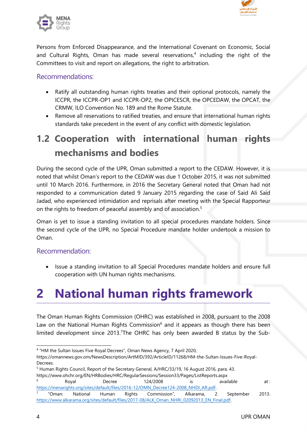

<span id="page-3-0"></span>

Persons from Enforced Disappearance, and the International Covenant on Economic, Social and Cultural Rights, Oman has made several reservations, 4 including the right of the Committees to visit and report on allegations, the right to arbitration.

#### Recommendations:

- Ratify all outstanding human rights treaties and their optional protocols, namely the ICCPR, the ICCPR-OP1 and ICCPR-OP2, the OPICESCR, the OPCEDAW, the OPCAT, the CRMW, ILO Convention No. 189 and the Rome Statute.
- c Remove all reservations to ratified treaties, and ensure that international human rights standards take precedent in the event of any conflict with domestic legislation.

# **1.2 Cooperation with international human rights mechanisms and bodies**

During the second cycle of the UPR, Oman submitted <sup>a</sup> report to the CEDAW. However, it is noted that whilst Oman'<sup>s</sup> report to the CEDAW was due 1 October 2015, it was not submitted until 10 March 2016. Furthermore, in 2016 the Secretary General noted that Oman had not responded to <sup>a</sup> communication dated 9 January 2015 regarding the case of Said Ali Said Jadad, who experienced intimidation and reprisals after meeting with the Special Rapporteur on the rights to freedom of peaceful assembly and of association. 5

Oman is ye<sup>t</sup> to issue <sup>a</sup> standing invitation to all special procedures mandate holders. Since the second cycle of the UPR, no Special Procedure mandate holder undertook <sup>a</sup> mission to Oman.

#### Recommendation:

 $\bullet$  Issue <sup>a</sup> standing invitation to all Special Procedures mandate holders and ensure full cooperation with UN human rights mechanisms.

# **2 National human rights framework**

The Oman Human Rights Commission (OHRC) was established in 2008, pursuant to the 2008 Law on the National Human Rights Commission $^6$  and it appears as though there has been limited development since 2013.<sup>7</sup>The OHRC has only been awarded B status by the Sub-

<sup>4</sup> "HM the Sultan Issues Five Royal Decrees", Oman News Agency, 7 April 2020,

[https://omannews.gov.om/NewsDescription/ArtMID/392/ArticleID/11268/HM-the-Sultan-Issues-Five-Royal-](https://omannews.gov.om/NewsDescription/ArtMID/392/ArticleID/11268/HM-the-Sultan-Issues-Five-Royal-Decrees)[Decrees](https://omannews.gov.om/NewsDescription/ArtMID/392/ArticleID/11268/HM-the-Sultan-Issues-Five-Royal-Decrees).

<sup>&</sup>lt;sup>5</sup> Human Rights Council, Report of the Secretary General, A/HRC/33/19, 16 August 2016, para. 43. <https://www.ohchr.org/EN/HRBodies/HRC/RegularSessions/Session33/Pages/ListReports.aspx> 6 Royal Decree 124/2008 is available at : [https://menarights.org/sites/default/files/2016-12/OMN\\_Decree124-2008\\_NHDI\\_AR.pdf](https://menarights.org/sites/default/files/2016-12/OMN_Decree124-2008_NHDI_AR.pdf). 7 "Oman: National Human Rights Commission", Alkarama, 2 September 2013. [https://www.alkarama.org/sites/default/files/2017-08/ALK\\_Oman\\_NHRI\\_02092013\\_EN\\_Final.pdf](https://www.alkarama.org/sites/default/files/2017-08/ALK_Oman_NHRI_02092013_EN_Final.pdf).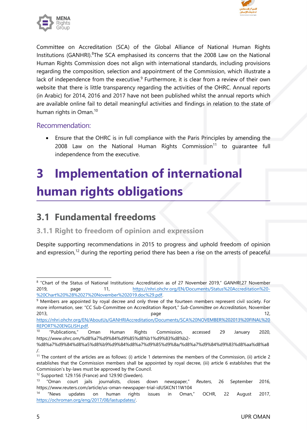

<span id="page-4-0"></span>

Committee on Accreditation (SCA) of the Global Alliance of National Human Rights Institutions (GANHRI).<sup>8</sup>The SCA emphasised its concerns that the 2008 Law on the National Human Rights Commission does not align with international standards, including provisions regarding the composition, selection and appointment of the Commission, which illustrate <sup>a</sup> lack of independence from the executive.<sup>9</sup> Furthermore, it is clear from a review of their own website that there is little transparency regarding the activities of the OHRC. Annual reports (in Arabic) for 2014, 2016 and 2017 have not been published whilst the annual reports which are available online fail to detail meaningful activities and findings in relation to the state of human rights in Oman. 10

#### Recommendation:

e Ensure that the OHRC is in full compliance with the Paris Principles by amending the 2008 Law on the National Human Rights Commission<sup>11</sup> to guarantee ful independence from the executive.

# **3 Implementation of international human rights obligations**

### **3.1 Fundamental freedoms**

#### **3.1.1 Right to freedom of opinion and expression**

Despite supporting recommendations in 2015 to progress and uphold freedom of opinion and expression,<sup>12</sup> during the reporting period there has been a rise on the arrests of peaceful

<sup>&</sup>lt;sup>8</sup> "Chart of the Status of National Institutions: Accreditation as of 27 November 2019," *GANHRI*,27 November 2019, page 11, [https://nhri.ohchr.org/EN/Documents/Status%20Accreditation%20-](https://nhri.ohchr.org/EN/Documents/Status%20Accreditation%20-%20Chart%20%28%2027%20November%202019.doc%29.pdf) [%20Chart%20%28%2027%20November%202019.doc%29.pdf](https://nhri.ohchr.org/EN/Documents/Status%20Accreditation%20-%20Chart%20%28%2027%20November%202019.doc%29.pdf).

<sup>&</sup>lt;sup>9</sup> Members are appointed by royal decree and only three of the fourteen members represent civil society. For more information, see: "CC Sub-Committee on Accreditation Report," *Sub-Committee on Accreditation*, November 2013, page 12,

[https://nhri.ohchr.org/EN/AboutUs/GANHRIAccreditation/Documents/SCA%20NOVEMBER%202013%20FINAL%20](https://nhri.ohchr.org/EN/AboutUs/GANHRIAccreditation/Documents/SCA%20NOVEMBER%202013%20FINAL%20REPORT%20ENGLISH.pdf) [REPORT%20ENGLISH.pdf](https://nhri.ohchr.org/EN/AboutUs/GANHRIAccreditation/Documents/SCA%20NOVEMBER%202013%20FINAL%20REPORT%20ENGLISH.pdf).

<sup>10</sup> "Publications," Oman Human Rights Commission, accessed 29 January 2020, https://www.ohrc.om/%d8%a7%d9%84%d9%85%d8%b1%d9%83%d8%b2-

<sup>%</sup>d8%a7%d9%84%d8%a5%d8%b9%d9%84%d8%a7%d9%85%d9%8a/%d8%a7%d9%84%d9%83%d8%aa%d8%a8 /.

<sup>&</sup>lt;sup>11</sup> The content of the articles are as follows: (i) article 1 determines the members of the Commission, (ii) article 2 establishes that the Commission members shall be appointed by royal decree, (iii) article 6 establishes that the Commission'<sup>s</sup> by-laws must be approved by the Council.

<sup>&</sup>lt;sup>12</sup> Supported: 129.156 (France) and 129.90 (Sweden).

<sup>&</sup>lt;sup>13</sup> "Oman "Oman court jails journalists, closes down newspaper," *Reuters*, 26 September 2016, https://www.reuters.com/article/us-oman-newspaper-trial-idUSKCN11W104

<sup>14</sup> "News updates on human rights issues in Oman," OCHR, 22 August 2017, <https://ochroman.org/eng/2017/08/lastupdates/>.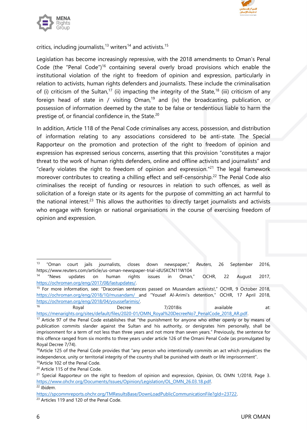



critics, including journalists,<sup>13</sup> writers<sup>14</sup> and activists.<sup>15</sup>

Legislation has become increasingly repressive, with the 2018 amendments to Oman'<sup>s</sup> Penal Code (the "Penal Code")<sup>16</sup> containing several overly broad provisions which enable the institutional violation of the right to freedom of opinion and expression, particularly in relation to activists, human rights defenders and journalists. These include the criminalisation of (i) criticism of the Sultan, $^{17}$  (ii) impacting the integrity of the State, $^{18}$  (iii) criticism of any foreign head of state in / visiting Oman,<sup>19</sup> and (iv) the broadcasting, publication, or possession of information deemed by the state to be false or tendentious liable to harm the prestige of, or financial confidence in, the State.<sup>20</sup>

In addition, Article 118 of the Penal Code criminalises any access, possession, and distribution of information relating to any associations considered to be anti-state. The Special Rapporteur on the promotion and protection of the right to freedom of opinion and expression has expressed serious concerns, asserting that this provision "constitutes <sup>a</sup> major threat to the work of human rights defenders, online and offline activists and journalists" and "clearly violates the right to freedom of opinion and expression."<sup>21</sup> The legal framework moreover contributes to creating a chilling effect and self-censorship.<sup>22</sup> The Penal Code also criminalises the receipt of funding or resources in relation to such offences, as well as solicitation of <sup>a</sup> foreign state or its agents for the purpose of committing an act harmful to the national interest. $^{23}$  This allows the authorities to directly target journalists and activists who engage with foreign or national organisations in the course of exercising freedom of opinion and expression.

Royal Decree 7/2018is available at:

[https://menarights.org/sites/default/files/2020-01/OMN\\_Royal%20DecreeNo7\\_PenalCode\\_2018\\_AR.pdf](https://menarights.org/sites/default/files/2020-01/OMN_Royal%20DecreeNo7_PenalCode_2018_AR.pdf). <sup>17</sup> Article 97 of the Penal Code establishes that "the punishment for anyone who either openly or by means of publication commits slander against the Sultan and his authority, or denigrates him personally, shall be imprisonment for <sup>a</sup> term of not less than three years and not more than seven years." Previously, the sentence for this offence ranged from six months to three years under article 126 of the Omani Penal Code (as promulgated by

Royal Decree 7/74).

<sup>13</sup> "Oman court jails journalists, closes down newspaper," *Reuters*, 26 September 2016, https://www.reuters.com/article/us-oman-newspaper-trial-idUSKCN11W104

<sup>14</sup> "News updates on human rights issues in Oman," OCHR, 22 August 2017, <https://ochroman.org/eng/2017/08/lastupdates/>.

<sup>&</sup>lt;sup>15</sup> For more information, see: "Draconian sentences passed on Musandam activists!," OCHR, 9 October 2018, <https://ochroman.org/eng/2018/10/musandam/> and "Yousef Al-Arimi'<sup>s</sup> detention," OCHR, 17 April 2018, <https://ochroman.org/eng/2018/04/youssefarimis/>. 16

<sup>&</sup>lt;sup>18</sup>Article 125 of the Penal Code provides that "any person who intentionally commits an act which prejudices the independence, unity or territorial integrity of the country shall be punished with death or life imprisonment".

<sup>&</sup>lt;sup>19</sup> Article 102 of the Penal Code. <sup>20</sup> Article 115 of the Penal Code.

<sup>21</sup> Special Rapporteur on the right to freedom of opinion and expression, *Opinion*, OL OMN 1/2018, Page 3. [https://www.ohchr.org/Documents/Issues/Opinion/Legislation/OL\\_OMN\\_26.03.18.pdf](https://www.ohchr.org/Documents/Issues/Opinion/Legislation/OL_OMN_26.03.18.pdf).

<sup>22</sup> *Ibidem*.

<https://spcommreports.ohchr.org/TMResultsBase/DownLoadPublicCommunicationFile?gId=23722>.

<sup>&</sup>lt;sup>23</sup> Articles 119 and 120 of the Penal Code.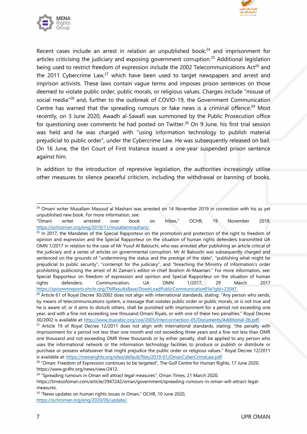



Recent cases include an arrest in relation an unpublished book,<sup>24</sup> and imprisonment for articles criticising the judiciary and exposing government corruption.<sup>25</sup> Additional legislation being used to restrict freedom of expression include the 2002 Telecommunications Act<sup>26</sup> and the 2011 Cybercrime Law,<sup>27</sup> which have been used to target newspapers and arrest and imprison activists. These laws contain vague terms and imposes prison sentences on those deemed to violate public order, public morals, or religious values. Charges include "misuse of social media"<sup>28</sup> and, further to the outbreak of COVID-19, the Government Communication Centre has warned that the spreading rumours or fake news is a criminal offence.<sup>29</sup> Most recently, on 3 June 2020, Awadh al-Sawafi was summoned by the Public Prosecution office for questioning over comments he had posted on Twitter. 30 On 9 June, his first trial session was held and he was charged with "using information technology to publish material prejudicial to public order", under the Cybercrime Law. He was subsequently released on bail. On 16 June, the Ibri Court of First Instance issued <sup>a</sup> one-year suspended prison sentence against him.

In addition to the introduction of repressive legislation, the authorities increasingly utilise other measures to silence peaceful criticism, including the withdrawal or banning of books,

<sup>&</sup>lt;sup>24</sup> Omani writer Musallam Masoud al Mashani was arrested on 14 November 2019 in connection with his as yet unpublished new book. For more information, see:

<sup>&</sup>quot;Omani writer arrested over book on tribes," OCHR, 19 November 2019, <https://ochroman.org/eng/2019/11/musallammashani/>.

<sup>&</sup>lt;sup>25</sup> In 2017, the Mandates of the Special Rapporteur on the promotion and protection of the right to freedom of opinion and expression and the Special Rapporteur on the situation of human rights defenders transmitted UA OMN 1/2017 in relation to the case of Mr Yusuf Al Balouchi, who was arrested after publishing an article critical of the judiciary and <sup>a</sup> series of articles on governmental corruption. Mr Al Balouchi was subsequently charged and sentenced on the grounds of "undermining the status and the prestige of the state", "publishing what might be prejudicial to public security", "contempt for the judiciary", and "breaching the Ministry of Information'<sup>s</sup> order prohibiting publicising the arrest of Al Zaman'<sup>s</sup> editor-in-chief Ibrahim Al-Maamari." For more information, see: Special Rapporteur on freedom of expression and opinion and Special Rapporteur on the situation of human rights defenders, Communication, UA OMN 1/2017, 29 March 2017 <https://spcommreports.ohchr.org/TMResultsBase/DownLoadPublicCommunicationFile?gId=23047>.

<sup>&</sup>lt;sup>26</sup> Article 61 of Royal Decree 30/2002 does not align with international standards, stating: "Any person who sends, by means of telecommunications system, <sup>a</sup> message that violates public order or public morals, or is not true and he is aware of, or it aims to disturb others, shall be punished with imprisonment for a period not exceeding one year, and with <sup>a</sup> fine not exceeding one thousand Omani Riyals, or with one of these two penalties." Royal Decree 30/2002 is available at: <http://www.ituarabic.org/coe/2005/Interconnection-05/Documents/Additional-2b.pdf>.

<sup>&</sup>lt;sup>27</sup> Article 19 of Royal Decree 12/2011 does not align with international standards, stating: "the penalty with imprisonment for <sup>a</sup> period not less than one month and not exceeding three years and <sup>a</sup> fine not less than OMR one thousand and not exceeding OMR three thousands or by either penalty, shall be applied to any person who uses the informational network or the information technology facilities to produce or publish or distribute or purchase or possess whatsoever that might prejudice the public order or religious values." Royal Decree 12/2011 is available at: <https://menarights.org/sites/default/files/2019-01/OmanCyberCrimeLaw.pdf>.

<sup>&</sup>lt;sup>28</sup> "Oman: Freedom of Expression continues to be targeted", The Gulf Centre for Human Rights, 17 June 2020, <https://www.gc4hr.org/news/view/2412>.

<sup>&</sup>lt;sup>29</sup> "Spreading rumours in Oman will attract legal measures", Oman Times, 21 March 2020,

[https://timesofoman.com/article/2947242/oman/government/spreading-rumours-in-oman-will-attract-legal](https://timesofoman.com/article/2947242/oman/government/spreading-rumours-in-oman-will-attract-legal-measures)[measures.](https://timesofoman.com/article/2947242/oman/government/spreading-rumours-in-oman-will-attract-legal-measures)

<sup>&</sup>lt;sup>30</sup> "News updates on human rights issues in Oman," OCHR, 10 June 2020, <https://ochroman.org/eng/2020/06/update/>.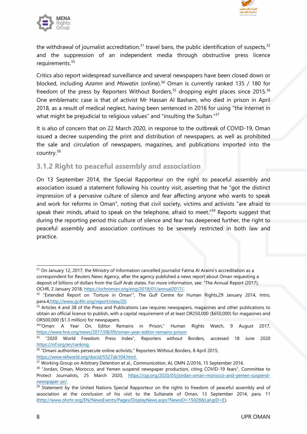

<span id="page-7-0"></span>

the withdrawal of journalist accreditation, $^{31}$  travel bans, the public identification of suspects, $^{32}$ and the suppression of an independent media through obstructive press licence requirements.<sup>33</sup>

Critics also report widespread surveillance and several newspapers have been closed down or blocked, including *Azamn* and *Mowatin* (online). 34 Oman is currently ranked 135 / 180 for freedom of the press by Reporters Without Borders, $^\mathrm{35}$  dropping eight places since 2015. $^\mathrm{36}$ One emblematic case is that of activist Mr Hassan Al Basham, who died in prison in April 2018, as <sup>a</sup> result of medical neglect, having been sentenced in 2016 for using "the Internet in what might be prejudicial to religious values" and "insulting the Sultan."<sup>37</sup>

It is also of concern that on 22 March 2020, in response to the outbreak of COVID-19, Oman issued <sup>a</sup> decree suspending the print and distribution of newspapers, as well as prohibited the sale and circulation of newspapers, magazines, and publications imported into the country.<sup>38</sup>

#### **3.1.2 Right to peaceful assembly and association**

On 13 September 2014, the Special Rapporteur on the right to peaceful assembly and association issued <sup>a</sup> statement following his country visit, asserting that he "go<sup>t</sup> the distinct impression of <sup>a</sup> pervasive culture of silence and fear affecting anyone who wants to speak and work for reforms in Oman", noting that civil society, victims and activists "are afraid to speak their minds, afraid to speak on the telephone, afraid to meet."<sup>39</sup> Reports suggest that during the reporting period this culture of silence and fear has deepened further, the right to peaceful assembly and association continues to be severely restricted in both law and practice.

 $\rm ^{31}$  On January 12, 2017, the Ministry of Information cancelled journalist Fatma Al Araimi's accreditation as a correspondent for Reuters News Agency, after the agency published <sup>a</sup> news report about Oman requesting <sup>a</sup> deposit of billions of dollars from the Gulf Arab states. For more information, see: "The Annual Report (2017), OCHR, 2 January 2018, <https://ochroman.org/eng/2018/01/annual2017/>.

 $32$  "Extended Report on 'Torture in Oman'", The Gulf Centre for Human Rights, 29 January 2014, Intro, para.4,<http://www.gc4hr.org/report/view/20>.

 $33$  Articles 4 and 38 of the Press and Publications Law requires newspapers, magazines and other publications to obtain an official licence to publish, with <sup>a</sup> capital requirement of at least OR250,000 (\$650,000) for magazines and OR500,000 (\$1.3 million) for newspapers.

<sup>&</sup>lt;sup>34</sup>"Oman: A Year On, Editor Remains in Prison," Human Rights Watch, 9 August 2017, <https://www.hrw.org/news/2017/08/09/oman-year-editor-remains-prison>

<sup>&</sup>lt;sup>35</sup> "2020 World Freedom Press Index", Reporters without Borders, accessed 18 June 2020 <https://rsf.org/en/ranking>.

 $^{\rm 36}$  "Omani authorities persecute online activists," Reporters Without Borders, 8 April 2015, <https://www.refworld.org/docid/5527ab104.html>.

<sup>37</sup> Working Group on Arbitrary Detention et al., *Communication*, AL OMN 2/2016, <sup>15</sup> September 2016.

 $38$  "Jordan, Oman, Morocco, and Yemen suspend newspaper production, citing COVID-19 fears", Committee to Protect Journalists, 25 March 2020, [https://cpj.org/2020/03/jordan-oman-morocco-and-yemen-suspend](https://cpj.org/2020/03/jordan-oman-morocco-and-yemen-suspend-newspaper-pr/)[newspaper-pr/](https://cpj.org/2020/03/jordan-oman-morocco-and-yemen-suspend-newspaper-pr/).

<sup>&</sup>lt;sup>39</sup> Statement by the United Nations Special Rapporteur on the rights to freedom of peaceful assembly and of association at the conclusion of his visit to the Sultanate of Oman, 13 September 2014, para. 11 (<http://www.ohchr.org/EN/NewsEvents/Pages/DisplayNews.aspx?NewsID=15028&LangID=E>).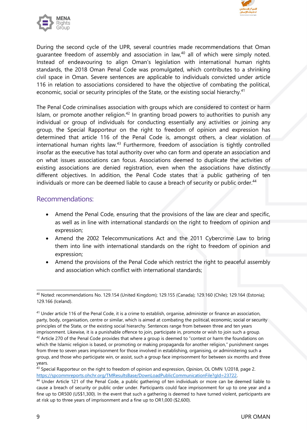



During the second cycle of the UPR, several countries made recommendations that Oman guarantee freedom of assembly and association in law, 40 all of which were simply noted. Instead of endeavouring to align Oman'<sup>s</sup> legislation with international human rights standards, the 2018 Oman Penal Code was promulgated, which contributes to <sup>a</sup> shrinking civil space in Oman. Severe sentences are applicable to individuals convicted under article 116 in relation to associations considered to have the objective of combating the political, economic, social or security principles of the State, or the existing social hierarchy. $^{4^{\prime}}$ 

The Penal Code criminalises association with groups which are considered to contest or harm Islam, or promote another religion. $^\mathrm{42}$  In granting broad powers to authorities to punish any individual or group of individuals for conducting essentially any activities or joining any group, the Special Rapporteur on the right to freedom of opinion and expression has determined that article 116 of the Penal Code is, amongs<sup>t</sup> others, <sup>a</sup> clear violation of international human rights law.<sup>43</sup> Furthermore, freedom of association is tightly controlled insofar as the executive has total authority over who can form and operate an association and on what issues associations can focus. Associations deemed to duplicate the activities of existing associations are denied registration, even when the associations have distinctly different objectives. In addition, the Penal Code states that <sup>a</sup> public gathering of ten individuals or more can be deemed liable to cause a breach of security or public order.<sup>44</sup>

#### Recommendations:

- Amend the Penal Code, ensuring that the provisions of the law are clear and specific, as well as in line with international standards on the right to freedom of opinion and expression;
- Amend the 2002 Telecommunications Act and the 2011 Cybercrime Law to bring them into line with international standards on the right to freedom of opinion and expression;
- Amend the provisions of the Penal Code which restrict the right to peaceful assembly and association which conflict with international standards;

 $^{\rm 40}$  Noted: recommendations No. 129.154 (United Kingdom); 129.155 (Canada); 129.160 (Chile); 129.164 (Estonia); 129.166 (Iceland).

<sup>&</sup>lt;sup>41</sup> Under article 116 of the Penal Code, it is a crime to establish, organise, administer or finance an association, party, body, organisation, centre or similar, which is aimed at combating the political, economic, social or security principles of the State, or the existing social hierarchy. Sentences range from between three and ten years imprisonment. Likewise, it is <sup>a</sup> punishable offence to join, participate in, promote or wish to join such <sup>a</sup> group.  $^{42}$  Article 270 of the Penal Code provides that where a group is deemed to "contest or harm the foundations or which the Islamic religion is based, or promoting or making propaganda for another religion," punishment ranges from three to seven years imprisonment for those involved in establishing, organising, or administering such <sup>a</sup>

group, and those who participate win, or assist, such <sup>a</sup> group face imprisonment for between six months and three years.

<sup>43</sup> Special Rapporteur on the right to freedom of opinion and expression, *Opinion*, OL OMN 1/2018, page 2. <https://spcommreports.ohchr.org/TMResultsBase/DownLoadPublicCommunicationFile?gId=23722>.

<sup>44</sup> Under Article 121 of the Penal Code, <sup>a</sup> public gathering of ten individuals or more can be deemed liable to cause <sup>a</sup> breach of security or public order under. Participants could face imprisonment for up to one year and <sup>a</sup> fine up to OR500 (US\$1,300). In the event that such <sup>a</sup> gathering is deemed to have turned violent, participants are at risk up to three years of imprisonment and <sup>a</sup> fine up to OR1,000 (\$2,600).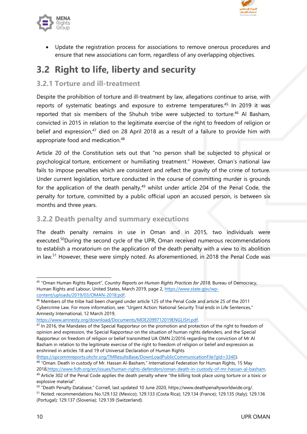

<span id="page-9-0"></span>

c Update the registration process for associations to remove onerous procedures and ensure that new associations can form, regardless of any overlapping objectives.

# **3.2 Right to life, liberty and security**

#### **3.2.1 Torture and ill-treatment**

Despite the prohibition of torture and ill-treatment by law, allegations continue to arise, with reports of systematic beatings and exposure to extreme temperatures. 45 In 2019 it was reported that six members of the Shuhuh tribe were subjected to torture. 46 Al Basham, convicted in 2015 in relation to the legitimate exercise of the right to freedom of religion or belief and expression,<sup>47</sup> died on 28 April 2018 as a result of a failure to provide him with appropriate food and medication.<sup>48</sup>

Article 20 of the Constitution sets out that "no person shall be subjected to physical or psychological torture, enticement or humiliating treatment." However, Oman'<sup>s</sup> national law fails to impose penalties which are consistent and reflect the gravity of the crime of torture. Under current legislation, torture conducted in the course of committing murder is grounds for the application of the death penalty,<sup>49</sup> whilst under article 204 of the Penal Code, the penalty for torture, committed by <sup>a</sup> public official upon an accused person, is between six months and three years.

#### **3.2.2 Death penalty and summary executions**

The death penalty remains in use in Oman and in 2015, two individuals were executed.<sup>50</sup>During the second cycle of the UPR, Oman received numerous recommendations to establish <sup>a</sup> moratorium on the application of the death penalty with <sup>a</sup> view to its abolition in law.<sup>51</sup> However, these were simply noted. As aforementioned, in 2018 the Penal Code was

<https://www.amnesty.org/download/Documents/MDE2099712019ENGLISH.pdf>.

(<https://spcommreports.ohchr.org/TMResultsBase/DownLoadPublicCommunicationFile?gId=3340>).

<sup>45</sup> "Oman Human Rights Report", *Country Reports on Human Rights Practices for 2018*, Bureau of Democracy, Human Rights and Labour, United States, March 2019, page 2, [https://www.state.gov/wp](https://www.state.gov/wp-content/uploads/2019/03/OMAN-2018.pdf)[content/uploads/2019/03/OMAN-2018.pdf](https://www.state.gov/wp-content/uploads/2019/03/OMAN-2018.pdf).

<sup>46</sup> Members of the tribe had been charged under article <sup>125</sup> of the Penal Code and article <sup>25</sup> of the <sup>2011</sup> Cybercrime Law. For more information, see: "Urgent Action: National Security Trial ends in Life Sentences," Amnesty International, 12 March 2019,

 $^{47}$  In 2016, the Mandates of the Special Rapporteur on the promotion and protection of the right to freedom of opinion and expression, the Special Rapporteur on the situation of human rights defenders, and the Special Rapporteur on freedom of religion or belief transmitted UA OMN 2/2016 regarding the conviction of Mr Al Basham in relation to the legitimate exercise of the right to freedom of religion or belief and expression as enshrined in articles 18 and 19 of Universal Declaration of Human Rights

<sup>48</sup> "Oman: Death in custody of Mr. Hassan Al-Basham," International Federation for Human Rights, 15 May 2018,<https://www.fidh.org/en/issues/human-rights-defenders/oman-death-in-custody-of-mr-hassan-al-basham>. <sup>49</sup> Article 302 of the Penal Code applies the death penalty where "the killing took place using torture or a toxic or

explosive material".

 $^{50}$  "Death Penalty Database," Cornell, last updated 10 June 2020, <https://www.deathpenaltyworldwide.org/> <sup>51</sup> Noted: recommendations No.129.132 (Mexico); 129.133 (Costa Rica); 129.134 (France); 129.135 (Italy); 129.136 (Portugal); 129.137 (Slovenia); 129.139 (Switzerland).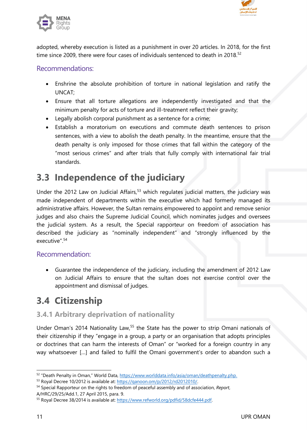

<span id="page-10-0"></span>

adopted, whereby execution is listed as <sup>a</sup> punishment in over 20 articles. In 2018, for the first time since 2009, there were four cases of individuals sentenced to death in 2018.<sup>52</sup>

#### Recommendations:

- Enshrine the absolute prohibition of torture in national legislation and ratify the UNCAT;
- Ensure that all torture allegations are independently investigated and that the minimum penalty for acts of torture and ill-treatment reflect their gravity;
- Legally abolish corporal punishment as <sup>a</sup> sentence for <sup>a</sup> crime;
- Establish <sup>a</sup> moratorium on executions and commute death sentences to prison sentences, with <sup>a</sup> view to abolish the death penalty. In the meantime, ensure that the death penalty is only imposed for those crimes that fall within the category of the "most serious crimes" and after trials that fully comply with international fair trial standards.

### **3.3 Independence of the judiciary**

Under the 2012 Law on Judicial Affairs,<sup>53</sup> which regulates judicial matters, the judiciary was made independent of departments within the executive which had formerly managed its administrative affairs. However, the Sultan remains empowered to appoint and remove senior judges and also chairs the Supreme Judicial Council, which nominates judges and oversees the judicial system. As <sup>a</sup> result, the Special rapporteur on freedom of association has described the judiciary as "nominally independent" and "strongly influenced by the executive". 54

#### Recommendation:

 Guarantee the independence of the judiciary, including the amendment of 2012 Law on Judicial Affairs to ensure that the sultan does not exercise control over the appointment and dismissal of judges.

### **3.4 Citizenship**

#### **3.4.1 Arbitrary deprivation of nationality**

Under Oman's 2014 Nationality Law,<sup>55</sup> the State has the power to strip Omani nationals of their citizenship if they "engage in <sup>a</sup> group, <sup>a</sup> party or an organisation that adopts principles or doctrines that can harm the interests of Oman" or "worked for <sup>a</sup> foreign country in any way whatsoever […] and failed to fulfil the Omani government'<sup>s</sup> order to abandon such <sup>a</sup>

<sup>&</sup>lt;sup>52</sup> "Death Penalty in Oman," World Data, <https://www.worlddata.info/asia/oman/deathpenalty.php>.

<sup>&</sup>lt;sup>53</sup> Royal Decree 10/2012 is available at: <https://qanoon.om/p/2012/rd2012010/>.

<sup>54</sup> Special Rapporteur on the rights to freedom of peaceful assembly and of association, *Report*, A/HRC/29/25/Add.1, 27 April 2015, para. 9.

<sup>&</sup>lt;sup>55</sup> Royal Decree 38/2014 is available at: <https://www.refworld.org/pdfid/58dcfe444.pdf>.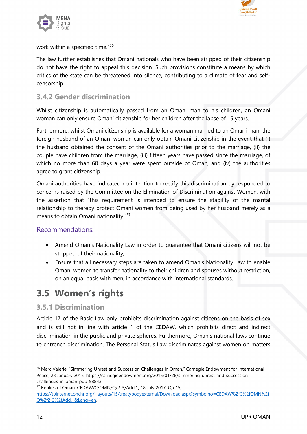

<span id="page-11-0"></span>

work within <sup>a</sup> specified time." 56

The law further establishes that Omani nationals who have been stripped of their citizenship do not have the right to appeal this decision. Such provisions constitute <sup>a</sup> means by which critics of the state can be threatened into silence, contributing to <sup>a</sup> climate of fear and selfcensorship.

#### **3.4.2 Gender discrimination**

Whilst citizenship is automatically passed from an Omani man to his children, an Omani woman can only ensure Omani citizenship for her children after the lapse of 15 years.

Furthermore, whilst Omani citizenship is available for <sup>a</sup> woman married to an Omani man, the foreign husband of an Omani woman can only obtain Omani citizenship in the event that (i) the husband obtained the consent of the Omani authorities prior to the marriage, (ii) the couple have children from the marriage, (iii) fifteen years have passed since the marriage, of which no more than 60 days a year were spent outside of Oman, and (iv) the authorities agree to gran<sup>t</sup> citizenship.

Omani authorities have indicated no intention to rectify this discrimination by responded to concerns raised by the Committee on the Elimination of Discrimination against Women, with the assertion that "this requirement is intended to ensure the stability of the marital relationship to thereby protect Omani women from being used by her husband merely as <sup>a</sup> means to obtain Omani nationality." 57

#### Recommendations:

- Amend Oman'<sup>s</sup> Nationality Law in order to guarantee that Omani citizens will not be stripped of their nationality;
- Ensure that all necessary steps are taken to amend Oman'<sup>s</sup> Nationality Law to enable Omani women to transfer nationality to their children and spouses without restriction, on an equal basis with men, in accordance with international standards.

### **3.5 Women'<sup>s</sup> rights**

#### **3.5.1 Discrimination**

Article 17 of the Basic Law only prohibits discrimination against citizens on the basis of sex and is still not in line with article 1 of the CEDAW, which prohibits direct and indirect discrimination in the public and private spheres. Furthermore, Oman'<sup>s</sup> national laws continue to entrench discrimination. The Personal Status Law discriminates against women on matters

<sup>56</sup> Marc Valerie, "Simmering Unrest and Succession Challenges in Oman," Carnegie Endowment for International Peace, 28 January 2015, [https://carnegieendowment.org/2015/01/28/simmering-unrest-and-succession](https://carnegieendowment.org/2015/01/28/simmering-unrest-and-succession-challenges-in-oman-pub-58843)[challenges-in-oman-pub-58843](https://carnegieendowment.org/2015/01/28/simmering-unrest-and-succession-challenges-in-oman-pub-58843).

<sup>57</sup> Replies of Oman, CEDAW/C/OMN/Q/2-3/Add.1, 18 July 2017, Qu 15, [https://tbinternet.ohchr.org/\\_layouts/15/treatybodyexternal/Download.aspx?symbolno=CEDAW%2fC%2fOMN%2f](https://tbinternet.ohchr.org/_layouts/15/treatybodyexternal/Download.aspx?symbolno=CEDAW%2fC%2fOMN%2fQ%2f2-3%2fAdd.1&Lang=en) [Q%2f2-3%2fAdd.1&Lang=en](https://tbinternet.ohchr.org/_layouts/15/treatybodyexternal/Download.aspx?symbolno=CEDAW%2fC%2fOMN%2fQ%2f2-3%2fAdd.1&Lang=en).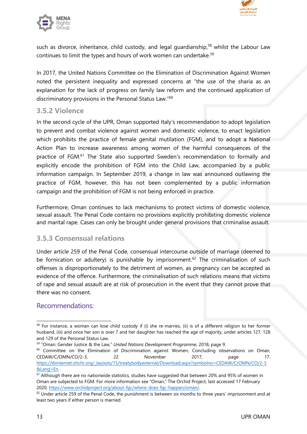

<span id="page-12-0"></span>

such as divorce, inheritance, child custody, and legal guardianship,<sup>58</sup> whilst the Labour Law continues to limit the types and hours of work women can undertake. $^{\mathrm{59}}$ 

In 2017, the United Nations Committee on the Elimination of Discrimination Against Women noted the persistent inequality and expressed concerns at "the use of the sharia as an explanation for the lack of progress on family law reform and the continued application of discriminatory provisions in the Personal Status Law." 60

#### **3.5.2 Violence**

In the second cycle of the UPR, Oman supported Italy'<sup>s</sup> recommendation to adopt legislation to prevent and combat violence against women and domestic violence, to enact legislation which prohibits the practice of female genital mutilation (FGM), and to adopt <sup>a</sup> National Action Plan to increase awareness among women of the harmful consequences of the practice of FGM.<sup>61</sup> The State also supported Sweden's recommendation to formally and explicitly encode the prohibition of FGM into the Child Law, accompanied by <sup>a</sup> public information campaign. In September 2019, <sup>a</sup> change in law was announced outlawing the practice of FGM, however, this has not been complemented by <sup>a</sup> public information campaign and the prohibition of FGM is not being enforced in practice.

Furthermore, Oman continues to lack mechanisms to protect victims of domestic violence, sexual assault. The Penal Code contains no provisions explicitly prohibiting domestic violence and marital rape. Cases can only be brought under general provisions that criminalise assault.

#### **3.5.3 Consensual relations**

Under article 259 of the Penal Code, consensual intercourse outside of marriage (deemed to be fornication or adultery) is punishable by imprisonment.<sup>62</sup> The criminalisation of such offenses is disproportionately to the detriment of women, as pregnancy can be accepted as evidence of the offence. Furthermore, the criminalisation of such relations means that victims of rape and sexual assault are at risk of prosecution in the event that they cannot prove that there was no consent.

#### Recommendations:

 $^{60}$  Committee on the Elimination of Discrimination against Women, Concluding observations on Oman CEDAW/C/OMN/CO/2-3, 22 November 2017, page 17. [https://tbinternet.ohchr.org/\\_layouts/15/treatybodyexternal/Download.aspx?symbolno=CEDAW/C/OMN/CO/2-3](https://tbinternet.ohchr.org/_layouts/15/treatybodyexternal/Download.aspx?symbolno=CEDAW/C/OMN/CO/2-3&Lang=En) [&Lang=En](https://tbinternet.ohchr.org/_layouts/15/treatybodyexternal/Download.aspx?symbolno=CEDAW/C/OMN/CO/2-3&Lang=En).

<sup>&</sup>lt;sup>58</sup> For instance, a woman can lose child custody if (i) she re-marries, (ii) is of a different religion to her former husband, (iii) and once her son is over 7 and her daughter has reached the age of majority, under articles 127, 128 and 129 of the Personal Status Law.

<sup>59</sup> "Oman: Gender Justice & the Law," *United Nations Development Programme*, 2018, page 9.

 $^{\rm 61}$  Although there are no nationwide statistics, studies have suggested that between 20% and 95% of women in Oman are subjected to FGM. For more information see "Oman," The Orchid Project, last accessed 17 February 2020, <https://www.orchidproject.org/about-fgc/where-does-fgc-happen/oman/>.

 $62$  Under article 259 of the Penal Code, the punishment is between six months to three years' imprisonment and at least two years if either person is married.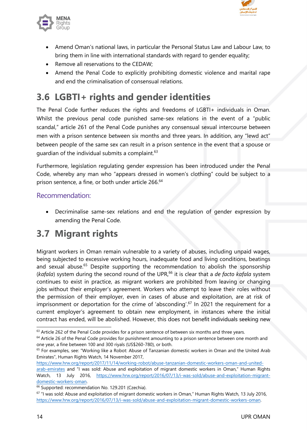

<span id="page-13-0"></span>

- Amend Oman'<sup>s</sup> national laws, in particular the Personal Status Law and Labour Law, to bring them in line with international standards with regard to gender equality;
- Remove all reservations to the CEDAW;
- Amend the Penal Code to explicitly prohibiting domestic violence and marital rape and end the criminalisation of consensual relations.

# **3.6 LGBTI+ rights and gender identities**

The Penal Code further reduces the rights and freedoms of LGBTI+ individuals in Oman. Whilst the previous penal code punished same-sex relations in the event of <sup>a</sup> "public scandal," article 261 of the Penal Code punishes any consensual sexual intercourse between men with <sup>a</sup> prison sentence between six months and three years. In addition, any "lewd act" between people of the same sex can result in <sup>a</sup> prison sentence in the event that <sup>a</sup> spouse or guardian of the individual submits a complaint.<sup>63</sup>

Furthermore, legislation regulating gender expression has been introduced under the Penal Code, whereby any man who "appears dressed in women'<sup>s</sup> clothing" could be subject to <sup>a</sup> prison sentence, <sup>a</sup> fine, or both under article 266. 64

#### Recommendation:

 Decriminalise same-sex relations and end the regulation of gender expression by amending the Penal Code.

### **3.7 Migrant rights**

Migrant workers in Oman remain vulnerable to <sup>a</sup> variety of abuses, including unpaid wages, being subjected to excessive working hours, inadequate food and living conditions, beatings and sexual abuse.<sup>65</sup> Despite supporting the recommendation to abolish the sponsorship (*kafala*) system during the second round of the UPR, 66 it is clear that <sup>a</sup> *de facto kafala* system continues to exist in practice, as migrant workers are prohibited from leaving or changing jobs without their employer'<sup>s</sup> agreement. Workers who attempt to leave their roles without the permission of their employer, even in cases of abuse and exploitation, are at risk of imprisonment or deportation for the crime of 'absconding'. $\rm ^{67}$  In 2021 the requirement for a current employer'<sup>s</sup> agreemen<sup>t</sup> to obtain new employment, in instances where the initial contract has ended, will be abolished. However, this does not benefit individuals seeking new

 $63$  Article 262 of the Penal Code provides for a prison sentence of between six months and three years.

<sup>&</sup>lt;sup>64</sup> Article 26 of the Penal Code provides for punishment amounting to a prison sentence between one month and one year, <sup>a</sup> fine between 100 and 300 riyals (US\$260-780), or both.

<sup>&</sup>lt;sup>65</sup> For examples, see: "Working like a Robot: Abuse of Tanzanian domestic workers in Oman and the United Arab Emirates", Human Rights Watch, 14 November 2017,

[https://www.hrw.org/report/2017/11/14/working-robot/abuse-tanzanian-domestic-workers-oman-and-united](https://www.hrw.org/report/2017/11/14/working-robot/abuse-tanzanian-domestic-workers-oman-and-united-arab-emirates)[arab-emirates](https://www.hrw.org/report/2017/11/14/working-robot/abuse-tanzanian-domestic-workers-oman-and-united-arab-emirates) and "I was sold: Abuse and exploitation of migrant domestic workers in Oman," Human Rights Watch, 13 July 2016, [https://www.hrw.org/report/2016/07/13/i-was-sold/abuse-and-exploitation-migrant](https://www.hrw.org/report/2016/07/13/i-was-sold/abuse-and-exploitation-migrant-domestic-workers-oman)[domestic-workers-oman](https://www.hrw.org/report/2016/07/13/i-was-sold/abuse-and-exploitation-migrant-domestic-workers-oman).

<sup>&</sup>lt;sup>66</sup> Supported: recommendation No. 129.201 (Czechia).

 $^{67}$  "I was sold: Abuse and exploitation of migrant domestic workers in Oman," Human Rights Watch, 13 July 2016, <https://www.hrw.org/report/2016/07/13/i-was-sold/abuse-and-exploitation-migrant-domestic-workers-oman>.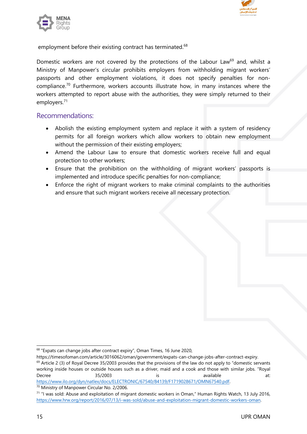



employment before their existing contract has terminated. $^{68}$ 

Domestic workers are not covered by the protections of the Labour Law<sup>69</sup> and, whilst a Ministry of Manpower'<sup>s</sup> circular prohibits employers from withholding migrant workers' passports and other employment violations, it does not specify penalties for noncompliance.<sup>70</sup> Furthermore, workers accounts illustrate how, in many instances where the workers attempted to report abuse with the authorities, they were simply returned to their employers. 71

#### Recommendations:

- Abolish the existing employment system and replace it with <sup>a</sup> system of residency permits for all foreign workers which allow workers to obtain new employment without the permission of their existing employers;
- Amend the Labour Law to ensure that domestic workers receive full and equal protection to other workers;
- Ensure that the prohibition on the withholding of migrant workers' passports is implemented and introduce specific penalties for non-compliance;
- Enforce the right of migrant workers to make criminal complaints to the authorities and ensure that such migrant workers receive all necessary protection.

 $^{\rm 68}$  "Expats can change jobs after contract expiry", Oman Times, 16 June 2020,

<https://timesofoman.com/article/3016062/oman/government/expats-can-change-jobs-after-contract-expiry>.  $^{69}$  Article 2 (3) of Royal Decree 35/2003 provides that the provisions of the law do not apply to "domestic servants working inside houses or outside houses such as <sup>a</sup> driver, maid and <sup>a</sup> cook and those with similar jobs. "Royal Decree 35/2003 is available at: <https://www.ilo.org/dyn/natlex/docs/ELECTRONIC/67540/84139/F1719028671/OMN67540.pdf>.

<sup>70</sup> Ministry of Manpower Circular No. 2/2006.

<sup>&</sup>lt;sup>71</sup> "I was sold: Abuse and exploitation of migrant domestic workers in Oman," Human Rights Watch, 13 July 2016, <https://www.hrw.org/report/2016/07/13/i-was-sold/abuse-and-exploitation-migrant-domestic-workers-oman>.